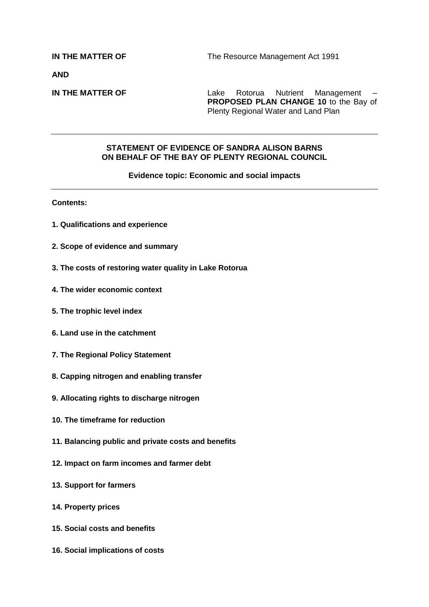**AND**

**IN THE MATTER OF** Lake Rotorua Nutrient Management – **PROPOSED PLAN CHANGE 10** to the Bay of Plenty Regional Water and Land Plan

#### **STATEMENT OF EVIDENCE OF SANDRA ALISON BARNS ON BEHALF OF THE BAY OF PLENTY REGIONAL COUNCIL**

#### **Evidence topic: Economic and social impacts**

**Contents:**

- **1. Qualifications and experience**
- **2. Scope of evidence and summary**
- **3. The costs of restoring water quality in Lake Rotorua**
- **4. The wider economic context**
- **5. The trophic level index**
- **6. Land use in the catchment**
- **7. The Regional Policy Statement**
- **8. Capping nitrogen and enabling transfer**
- **9. Allocating rights to discharge nitrogen**
- **10. The timeframe for reduction**
- **11. Balancing public and private costs and benefits**
- **12. Impact on farm incomes and farmer debt**
- **13. Support for farmers**
- **14. Property prices**
- **15. Social costs and benefits**
- **16. Social implications of costs**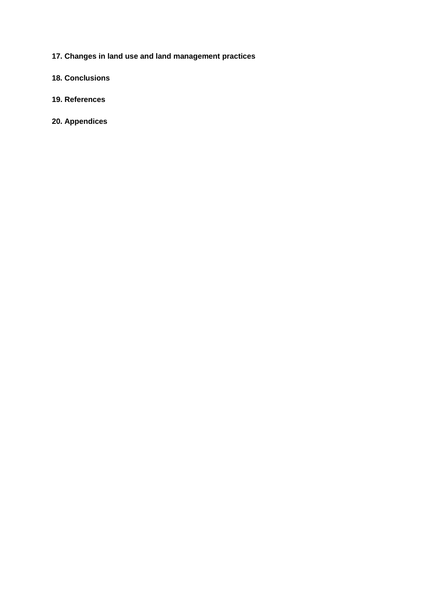- **17. Changes in land use and land management practices**
- **18. Conclusions**
- **19. References**
- **20. Appendices**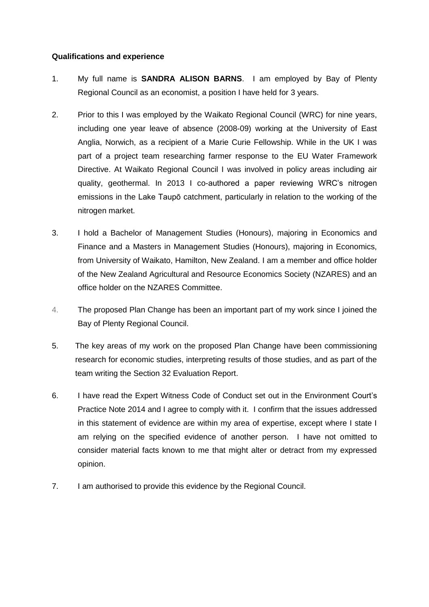## **Qualifications and experience**

- 1. My full name is **SANDRA ALISON BARNS**. I am employed by Bay of Plenty Regional Council as an economist, a position I have held for 3 years.
- 2. Prior to this I was employed by the Waikato Regional Council (WRC) for nine years, including one year leave of absence (2008-09) working at the University of East Anglia, Norwich, as a recipient of a Marie Curie Fellowship. While in the UK I was part of a project team researching farmer response to the EU Water Framework Directive. At Waikato Regional Council I was involved in policy areas including air quality, geothermal. In 2013 I co-authored a paper reviewing WRC's nitrogen emissions in the Lake Taupō catchment, particularly in relation to the working of the nitrogen market.
- 3. I hold a Bachelor of Management Studies (Honours), majoring in Economics and Finance and a Masters in Management Studies (Honours), majoring in Economics, from University of Waikato, Hamilton, New Zealand. I am a member and office holder of the New Zealand Agricultural and Resource Economics Society (NZARES) and an office holder on the NZARES Committee.
- 4. The proposed Plan Change has been an important part of my work since I joined the Bay of Plenty Regional Council.
- 5. The key areas of my work on the proposed Plan Change have been commissioning research for economic studies, interpreting results of those studies, and as part of the team writing the Section 32 Evaluation Report.
- 6. I have read the Expert Witness Code of Conduct set out in the Environment Court's Practice Note 2014 and I agree to comply with it. I confirm that the issues addressed in this statement of evidence are within my area of expertise, except where I state I am relying on the specified evidence of another person. I have not omitted to consider material facts known to me that might alter or detract from my expressed opinion.
- 7. I am authorised to provide this evidence by the Regional Council.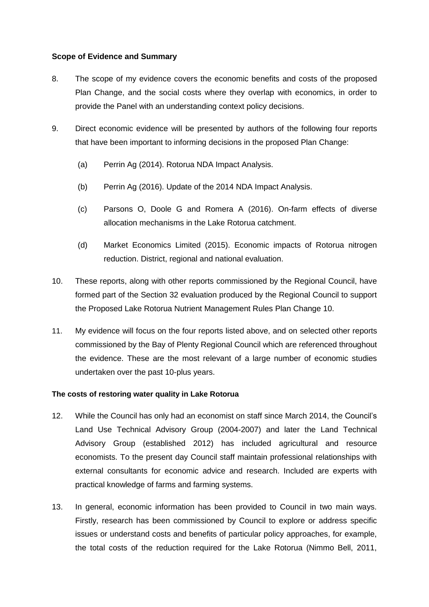## **Scope of Evidence and Summary**

- 8. The scope of my evidence covers the economic benefits and costs of the proposed Plan Change, and the social costs where they overlap with economics, in order to provide the Panel with an understanding context policy decisions.
- 9. Direct economic evidence will be presented by authors of the following four reports that have been important to informing decisions in the proposed Plan Change:
	- (a) Perrin Ag (2014). Rotorua NDA Impact Analysis.
	- (b) Perrin Ag (2016). Update of the 2014 NDA Impact Analysis.
	- (c) Parsons O, Doole G and Romera A (2016). On-farm effects of diverse allocation mechanisms in the Lake Rotorua catchment.
	- (d) Market Economics Limited (2015). Economic impacts of Rotorua nitrogen reduction. District, regional and national evaluation.
- 10. These reports, along with other reports commissioned by the Regional Council, have formed part of the Section 32 evaluation produced by the Regional Council to support the Proposed Lake Rotorua Nutrient Management Rules Plan Change 10.
- 11. My evidence will focus on the four reports listed above, and on selected other reports commissioned by the Bay of Plenty Regional Council which are referenced throughout the evidence. These are the most relevant of a large number of economic studies undertaken over the past 10-plus years.

## **The costs of restoring water quality in Lake Rotorua**

- 12. While the Council has only had an economist on staff since March 2014, the Council's Land Use Technical Advisory Group (2004-2007) and later the Land Technical Advisory Group (established 2012) has included agricultural and resource economists. To the present day Council staff maintain professional relationships with external consultants for economic advice and research. Included are experts with practical knowledge of farms and farming systems.
- 13. In general, economic information has been provided to Council in two main ways. Firstly, research has been commissioned by Council to explore or address specific issues or understand costs and benefits of particular policy approaches, for example, the total costs of the reduction required for the Lake Rotorua (Nimmo Bell, 2011,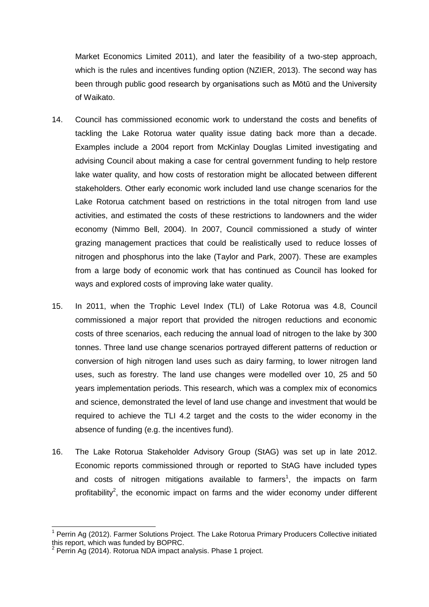Market Economics Limited 2011), and later the feasibility of a two-step approach, which is the rules and incentives funding option (NZIER, 2013). The second way has been through public good research by organisations such as Mōtū and the University of Waikato.

- 14. Council has commissioned economic work to understand the costs and benefits of tackling the Lake Rotorua water quality issue dating back more than a decade. Examples include a 2004 report from McKinlay Douglas Limited investigating and advising Council about making a case for central government funding to help restore lake water quality, and how costs of restoration might be allocated between different stakeholders. Other early economic work included land use change scenarios for the Lake Rotorua catchment based on restrictions in the total nitrogen from land use activities, and estimated the costs of these restrictions to landowners and the wider economy (Nimmo Bell, 2004). In 2007, Council commissioned a study of winter grazing management practices that could be realistically used to reduce losses of nitrogen and phosphorus into the lake (Taylor and Park, 2007). These are examples from a large body of economic work that has continued as Council has looked for ways and explored costs of improving lake water quality.
- 15. In 2011, when the Trophic Level Index (TLI) of Lake Rotorua was 4.8, Council commissioned a major report that provided the nitrogen reductions and economic costs of three scenarios, each reducing the annual load of nitrogen to the lake by 300 tonnes. Three land use change scenarios portrayed different patterns of reduction or conversion of high nitrogen land uses such as dairy farming, to lower nitrogen land uses, such as forestry. The land use changes were modelled over 10, 25 and 50 years implementation periods. This research, which was a complex mix of economics and science, demonstrated the level of land use change and investment that would be required to achieve the TLI 4.2 target and the costs to the wider economy in the absence of funding (e.g. the incentives fund).
- 16. The Lake Rotorua Stakeholder Advisory Group (StAG) was set up in late 2012. Economic reports commissioned through or reported to StAG have included types and costs of nitrogen mitigations available to farmers<sup>1</sup>, the impacts on farm profitability<sup>2</sup>, the economic impact on farms and the wider economy under different

 $\overline{1}$ <sup>1</sup> Perrin Ag (2012). Farmer Solutions Project. The Lake Rotorua Primary Producers Collective initiated this report, which was funded by BOPRC.<br><sup>2</sup> Perrin Ag (2014), Botarus NDA impect a

Perrin Ag (2014). Rotorua NDA impact analysis. Phase 1 project.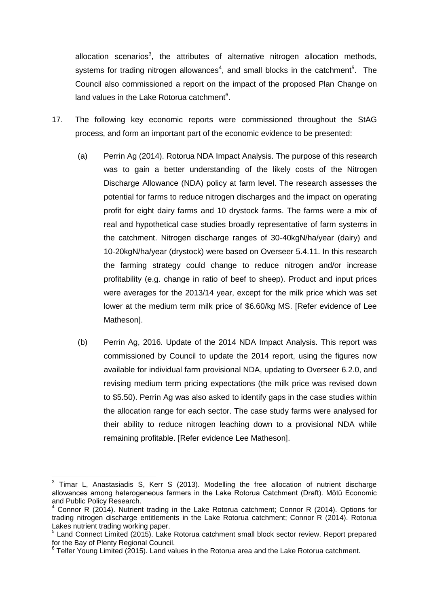allocation scenarios<sup>3</sup>, the attributes of alternative nitrogen allocation methods, systems for trading nitrogen allowances<sup>4</sup>, and small blocks in the catchment<sup>5</sup>. The Council also commissioned a report on the impact of the proposed Plan Change on land values in the Lake Rotorua catchment<sup>6</sup>.

- 17. The following key economic reports were commissioned throughout the StAG process, and form an important part of the economic evidence to be presented:
	- (a) Perrin Ag (2014). Rotorua NDA Impact Analysis. The purpose of this research was to gain a better understanding of the likely costs of the Nitrogen Discharge Allowance (NDA) policy at farm level. The research assesses the potential for farms to reduce nitrogen discharges and the impact on operating profit for eight dairy farms and 10 drystock farms. The farms were a mix of real and hypothetical case studies broadly representative of farm systems in the catchment. Nitrogen discharge ranges of 30-40kgN/ha/year (dairy) and 10-20kgN/ha/year (drystock) were based on Overseer 5.4.11. In this research the farming strategy could change to reduce nitrogen and/or increase profitability (e.g. change in ratio of beef to sheep). Product and input prices were averages for the 2013/14 year, except for the milk price which was set lower at the medium term milk price of \$6.60/kg MS. [Refer evidence of Lee Matheson].
	- (b) Perrin Ag, 2016. Update of the 2014 NDA Impact Analysis. This report was commissioned by Council to update the 2014 report, using the figures now available for individual farm provisional NDA, updating to Overseer 6.2.0, and revising medium term pricing expectations (the milk price was revised down to \$5.50). Perrin Ag was also asked to identify gaps in the case studies within the allocation range for each sector. The case study farms were analysed for their ability to reduce nitrogen leaching down to a provisional NDA while remaining profitable. [Refer evidence Lee Matheson].

 $\overline{1}$  $3$  Timar L, Anastasiadis S, Kerr S (2013). Modelling the free allocation of nutrient discharge allowances among heterogeneous farmers in the Lake Rotorua Catchment (Draft). Mōtū Economic and Public Policy Research.

<sup>4</sup> Connor R (2014). Nutrient trading in the Lake Rotorua catchment; Connor R (2014). Options for trading nitrogen discharge entitlements in the Lake Rotorua catchment; Connor R (2014). Rotorua Lakes nutrient trading working paper.

<sup>&</sup>lt;sup>5</sup> Land Connect Limited (2015). Lake Rotorua catchment small block sector review. Report prepared for the Bay of Plenty Regional Council.<br><sup>6</sup> Telfer Young Limited (2015). Land values in the Rotorua area and the Lake Rotorua catchment.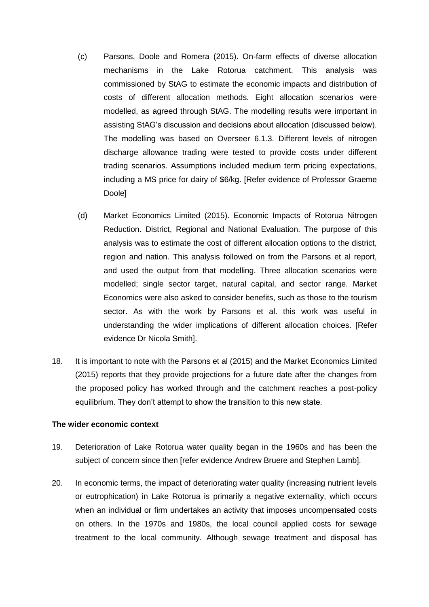- (c) Parsons, Doole and Romera (2015). On-farm effects of diverse allocation mechanisms in the Lake Rotorua catchment. This analysis was commissioned by StAG to estimate the economic impacts and distribution of costs of different allocation methods. Eight allocation scenarios were modelled, as agreed through StAG. The modelling results were important in assisting StAG's discussion and decisions about allocation (discussed below). The modelling was based on Overseer 6.1.3. Different levels of nitrogen discharge allowance trading were tested to provide costs under different trading scenarios. Assumptions included medium term pricing expectations, including a MS price for dairy of \$6/kg. [Refer evidence of Professor Graeme Doole]
- (d) Market Economics Limited (2015). Economic Impacts of Rotorua Nitrogen Reduction. District, Regional and National Evaluation. The purpose of this analysis was to estimate the cost of different allocation options to the district, region and nation. This analysis followed on from the Parsons et al report, and used the output from that modelling. Three allocation scenarios were modelled; single sector target, natural capital, and sector range. Market Economics were also asked to consider benefits, such as those to the tourism sector. As with the work by Parsons et al. this work was useful in understanding the wider implications of different allocation choices. [Refer evidence Dr Nicola Smith].
- 18. It is important to note with the Parsons et al (2015) and the Market Economics Limited (2015) reports that they provide projections for a future date after the changes from the proposed policy has worked through and the catchment reaches a post-policy equilibrium. They don't attempt to show the transition to this new state.

#### **The wider economic context**

- 19. Deterioration of Lake Rotorua water quality began in the 1960s and has been the subject of concern since then [refer evidence Andrew Bruere and Stephen Lamb].
- 20. In economic terms, the impact of deteriorating water quality (increasing nutrient levels or eutrophication) in Lake Rotorua is primarily a negative externality, which occurs when an individual or firm undertakes an activity that imposes uncompensated costs on others. In the 1970s and 1980s, the local council applied costs for sewage treatment to the local community. Although sewage treatment and disposal has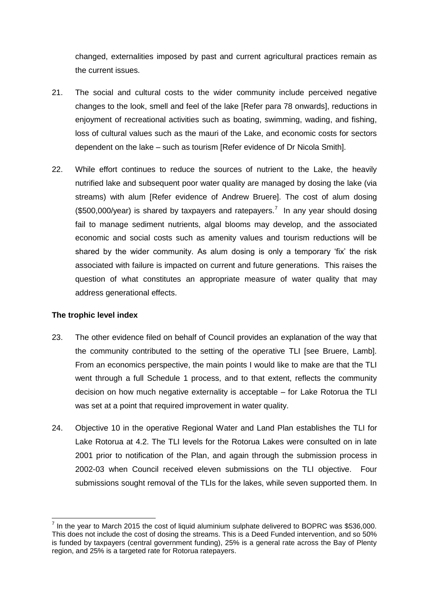changed, externalities imposed by past and current agricultural practices remain as the current issues.

- 21. The social and cultural costs to the wider community include perceived negative changes to the look, smell and feel of the lake [Refer para 78 onwards], reductions in enjoyment of recreational activities such as boating, swimming, wading, and fishing, loss of cultural values such as the mauri of the Lake, and economic costs for sectors dependent on the lake – such as tourism [Refer evidence of Dr Nicola Smith].
- 22. While effort continues to reduce the sources of nutrient to the Lake, the heavily nutrified lake and subsequent poor water quality are managed by dosing the lake (via streams) with alum [Refer evidence of Andrew Bruere]. The cost of alum dosing  $($500,000/year)$  is shared by taxpayers and ratepayers.<sup>7</sup> In any year should dosing fail to manage sediment nutrients, algal blooms may develop, and the associated economic and social costs such as amenity values and tourism reductions will be shared by the wider community. As alum dosing is only a temporary 'fix' the risk associated with failure is impacted on current and future generations. This raises the question of what constitutes an appropriate measure of water quality that may address generational effects.

## **The trophic level index**

- 23. The other evidence filed on behalf of Council provides an explanation of the way that the community contributed to the setting of the operative TLI [see Bruere, Lamb]. From an economics perspective, the main points I would like to make are that the TLI went through a full Schedule 1 process, and to that extent, reflects the community decision on how much negative externality is acceptable – for Lake Rotorua the TLI was set at a point that required improvement in water quality.
- 24. Objective 10 in the operative Regional Water and Land Plan establishes the TLI for Lake Rotorua at 4.2. The TLI levels for the Rotorua Lakes were consulted on in late 2001 prior to notification of the Plan, and again through the submission process in 2002-03 when Council received eleven submissions on the TLI objective. Four submissions sought removal of the TLIs for the lakes, while seven supported them. In

<sup>-</sup> $<sup>7</sup>$  In the year to March 2015 the cost of liquid aluminium sulphate delivered to BOPRC was \$536,000.</sup> This does not include the cost of dosing the streams. This is a Deed Funded intervention, and so 50% is funded by taxpayers (central government funding), 25% is a general rate across the Bay of Plenty region, and 25% is a targeted rate for Rotorua ratepayers.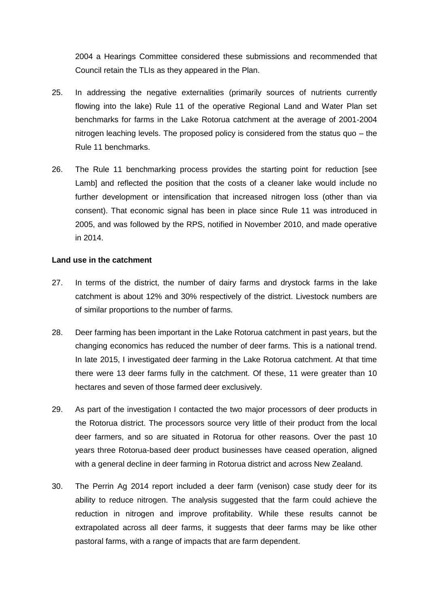2004 a Hearings Committee considered these submissions and recommended that Council retain the TLIs as they appeared in the Plan.

- 25. In addressing the negative externalities (primarily sources of nutrients currently flowing into the lake) Rule 11 of the operative Regional Land and Water Plan set benchmarks for farms in the Lake Rotorua catchment at the average of 2001-2004 nitrogen leaching levels. The proposed policy is considered from the status quo – the Rule 11 benchmarks.
- 26. The Rule 11 benchmarking process provides the starting point for reduction [see Lamb] and reflected the position that the costs of a cleaner lake would include no further development or intensification that increased nitrogen loss (other than via consent). That economic signal has been in place since Rule 11 was introduced in 2005, and was followed by the RPS, notified in November 2010, and made operative in 2014.

#### **Land use in the catchment**

- 27. In terms of the district, the number of dairy farms and drystock farms in the lake catchment is about 12% and 30% respectively of the district. Livestock numbers are of similar proportions to the number of farms.
- 28. Deer farming has been important in the Lake Rotorua catchment in past years, but the changing economics has reduced the number of deer farms. This is a national trend. In late 2015, I investigated deer farming in the Lake Rotorua catchment. At that time there were 13 deer farms fully in the catchment. Of these, 11 were greater than 10 hectares and seven of those farmed deer exclusively.
- 29. As part of the investigation I contacted the two major processors of deer products in the Rotorua district. The processors source very little of their product from the local deer farmers, and so are situated in Rotorua for other reasons. Over the past 10 years three Rotorua-based deer product businesses have ceased operation, aligned with a general decline in deer farming in Rotorua district and across New Zealand.
- 30. The Perrin Ag 2014 report included a deer farm (venison) case study deer for its ability to reduce nitrogen. The analysis suggested that the farm could achieve the reduction in nitrogen and improve profitability. While these results cannot be extrapolated across all deer farms, it suggests that deer farms may be like other pastoral farms, with a range of impacts that are farm dependent.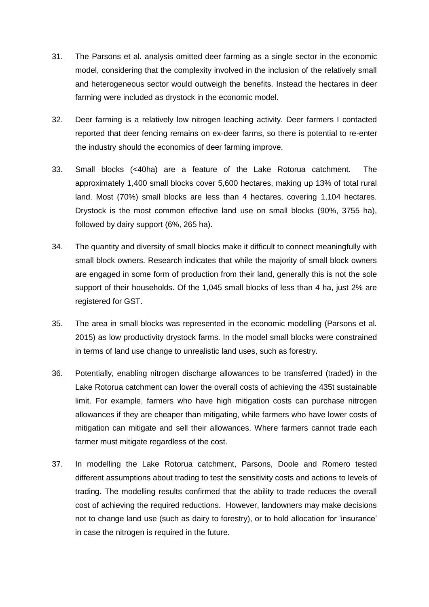- 31. The Parsons et al. analysis omitted deer farming as a single sector in the economic model, considering that the complexity involved in the inclusion of the relatively small and heterogeneous sector would outweigh the benefits. Instead the hectares in deer farming were included as drystock in the economic model.
- 32. Deer farming is a relatively low nitrogen leaching activity. Deer farmers I contacted reported that deer fencing remains on ex-deer farms, so there is potential to re-enter the industry should the economics of deer farming improve.
- 33. Small blocks (<40ha) are a feature of the Lake Rotorua catchment. The approximately 1,400 small blocks cover 5,600 hectares, making up 13% of total rural land. Most (70%) small blocks are less than 4 hectares, covering 1,104 hectares. Drystock is the most common effective land use on small blocks (90%, 3755 ha), followed by dairy support (6%, 265 ha).
- 34. The quantity and diversity of small blocks make it difficult to connect meaningfully with small block owners. Research indicates that while the majority of small block owners are engaged in some form of production from their land, generally this is not the sole support of their households. Of the 1,045 small blocks of less than 4 ha, just 2% are registered for GST.
- 35. The area in small blocks was represented in the economic modelling (Parsons et al. 2015) as low productivity drystock farms. In the model small blocks were constrained in terms of land use change to unrealistic land uses, such as forestry.
- 36. Potentially, enabling nitrogen discharge allowances to be transferred (traded) in the Lake Rotorua catchment can lower the overall costs of achieving the 435t sustainable limit. For example, farmers who have high mitigation costs can purchase nitrogen allowances if they are cheaper than mitigating, while farmers who have lower costs of mitigation can mitigate and sell their allowances. Where farmers cannot trade each farmer must mitigate regardless of the cost.
- 37. In modelling the Lake Rotorua catchment, Parsons, Doole and Romero tested different assumptions about trading to test the sensitivity costs and actions to levels of trading. The modelling results confirmed that the ability to trade reduces the overall cost of achieving the required reductions. However, landowners may make decisions not to change land use (such as dairy to forestry), or to hold allocation for 'insurance' in case the nitrogen is required in the future.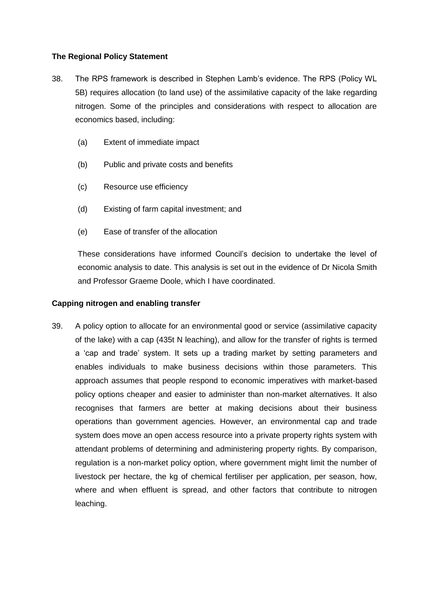# **The Regional Policy Statement**

- 38. The RPS framework is described in Stephen Lamb's evidence. The RPS (Policy WL 5B) requires allocation (to land use) of the assimilative capacity of the lake regarding nitrogen. Some of the principles and considerations with respect to allocation are economics based, including:
	- (a) Extent of immediate impact
	- (b) Public and private costs and benefits
	- (c) Resource use efficiency
	- (d) Existing of farm capital investment; and
	- (e) Ease of transfer of the allocation

These considerations have informed Council's decision to undertake the level of economic analysis to date. This analysis is set out in the evidence of Dr Nicola Smith and Professor Graeme Doole, which I have coordinated.

#### **Capping nitrogen and enabling transfer**

39. A policy option to allocate for an environmental good or service (assimilative capacity of the lake) with a cap (435t N leaching), and allow for the transfer of rights is termed a 'cap and trade' system. It sets up a trading market by setting parameters and enables individuals to make business decisions within those parameters. This approach assumes that people respond to economic imperatives with market-based policy options cheaper and easier to administer than non-market alternatives. It also recognises that farmers are better at making decisions about their business operations than government agencies. However, an environmental cap and trade system does move an open access resource into a private property rights system with attendant problems of determining and administering property rights. By comparison, regulation is a non-market policy option, where government might limit the number of livestock per hectare, the kg of chemical fertiliser per application, per season, how, where and when effluent is spread, and other factors that contribute to nitrogen leaching.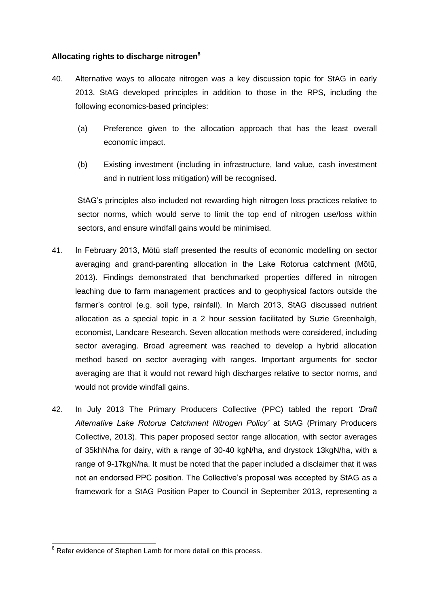# **Allocating rights to discharge nitrogen<sup>8</sup>**

- 40. Alternative ways to allocate nitrogen was a key discussion topic for StAG in early 2013. StAG developed principles in addition to those in the RPS, including the following economics-based principles:
	- (a) Preference given to the allocation approach that has the least overall economic impact.
	- (b) Existing investment (including in infrastructure, land value, cash investment and in nutrient loss mitigation) will be recognised.

StAG's principles also included not rewarding high nitrogen loss practices relative to sector norms, which would serve to limit the top end of nitrogen use/loss within sectors, and ensure windfall gains would be minimised.

- 41. In February 2013, Mōtū staff presented the results of economic modelling on sector averaging and grand-parenting allocation in the Lake Rotorua catchment (Mōtū, 2013). Findings demonstrated that benchmarked properties differed in nitrogen leaching due to farm management practices and to geophysical factors outside the farmer's control (e.g. soil type, rainfall). In March 2013, StAG discussed nutrient allocation as a special topic in a 2 hour session facilitated by Suzie Greenhalgh, economist, Landcare Research. Seven allocation methods were considered, including sector averaging. Broad agreement was reached to develop a hybrid allocation method based on sector averaging with ranges. Important arguments for sector averaging are that it would not reward high discharges relative to sector norms, and would not provide windfall gains.
- 42. In July 2013 The Primary Producers Collective (PPC) tabled the report *'Draft Alternative Lake Rotorua Catchment Nitrogen Policy'* at StAG (Primary Producers Collective, 2013). This paper proposed sector range allocation, with sector averages of 35khN/ha for dairy, with a range of 30-40 kgN/ha, and drystock 13kgN/ha, with a range of 9-17kgN/ha. It must be noted that the paper included a disclaimer that it was not an endorsed PPC position. The Collective's proposal was accepted by StAG as a framework for a StAG Position Paper to Council in September 2013, representing a

<sup>-</sup> $8$  Refer evidence of Stephen Lamb for more detail on this process.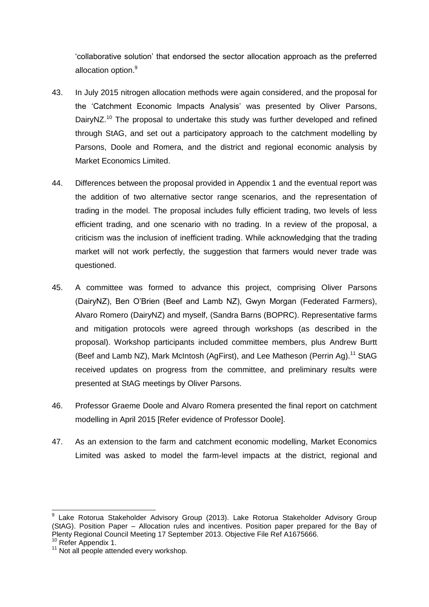'collaborative solution' that endorsed the sector allocation approach as the preferred allocation option.<sup>9</sup>

- 43. In July 2015 nitrogen allocation methods were again considered, and the proposal for the 'Catchment Economic Impacts Analysis' was presented by Oliver Parsons, DairyNZ.<sup>10</sup> The proposal to undertake this study was further developed and refined through StAG, and set out a participatory approach to the catchment modelling by Parsons, Doole and Romera, and the district and regional economic analysis by Market Economics Limited.
- 44. Differences between the proposal provided in Appendix 1 and the eventual report was the addition of two alternative sector range scenarios, and the representation of trading in the model. The proposal includes fully efficient trading, two levels of less efficient trading, and one scenario with no trading. In a review of the proposal, a criticism was the inclusion of inefficient trading. While acknowledging that the trading market will not work perfectly, the suggestion that farmers would never trade was questioned.
- 45. A committee was formed to advance this project, comprising Oliver Parsons (DairyNZ), Ben O'Brien (Beef and Lamb NZ), Gwyn Morgan (Federated Farmers), Alvaro Romero (DairyNZ) and myself, (Sandra Barns (BOPRC). Representative farms and mitigation protocols were agreed through workshops (as described in the proposal). Workshop participants included committee members, plus Andrew Burtt (Beef and Lamb NZ), Mark McIntosh (AgFirst), and Lee Matheson (Perrin Ag).<sup>11</sup> StAG received updates on progress from the committee, and preliminary results were presented at StAG meetings by Oliver Parsons.
- 46. Professor Graeme Doole and Alvaro Romera presented the final report on catchment modelling in April 2015 [Refer evidence of Professor Doole].
- 47. As an extension to the farm and catchment economic modelling, Market Economics Limited was asked to model the farm-level impacts at the district, regional and

-

<sup>9</sup> Lake Rotorua Stakeholder Advisory Group (2013). Lake Rotorua Stakeholder Advisory Group (StAG). Position Paper – Allocation rules and incentives. Position paper prepared for the Bay of Plenty Regional Council Meeting 17 September 2013. Objective File Ref A1675666.

<sup>&</sup>lt;sup>10</sup> Refer Appendix 1.

<sup>&</sup>lt;sup>11</sup> Not all people attended every workshop.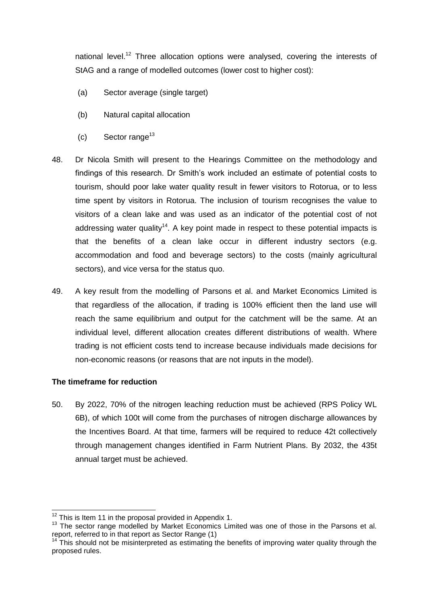national level.<sup>12</sup> Three allocation options were analysed, covering the interests of StAG and a range of modelled outcomes (lower cost to higher cost):

- (a) Sector average (single target)
- (b) Natural capital allocation
- (c) Sector range<sup>13</sup>
- 48. Dr Nicola Smith will present to the Hearings Committee on the methodology and findings of this research. Dr Smith's work included an estimate of potential costs to tourism, should poor lake water quality result in fewer visitors to Rotorua, or to less time spent by visitors in Rotorua. The inclusion of tourism recognises the value to visitors of a clean lake and was used as an indicator of the potential cost of not addressing water quality<sup>14</sup>. A key point made in respect to these potential impacts is that the benefits of a clean lake occur in different industry sectors (e.g. accommodation and food and beverage sectors) to the costs (mainly agricultural sectors), and vice versa for the status quo.
- 49. A key result from the modelling of Parsons et al. and Market Economics Limited is that regardless of the allocation, if trading is 100% efficient then the land use will reach the same equilibrium and output for the catchment will be the same. At an individual level, different allocation creates different distributions of wealth. Where trading is not efficient costs tend to increase because individuals made decisions for non-economic reasons (or reasons that are not inputs in the model).

## **The timeframe for reduction**

-

50. By 2022, 70% of the nitrogen leaching reduction must be achieved (RPS Policy WL 6B), of which 100t will come from the purchases of nitrogen discharge allowances by the Incentives Board. At that time, farmers will be required to reduce 42t collectively through management changes identified in Farm Nutrient Plans. By 2032, the 435t annual target must be achieved.

 $12$  This is Item 11 in the proposal provided in Appendix 1.

<sup>&</sup>lt;sup>13</sup> The sector range modelled by Market Economics Limited was one of those in the Parsons et al. report, referred to in that report as Sector Range (1)

<sup>&</sup>lt;sup>14</sup> This should not be misinterpreted as estimating the benefits of improving water quality through the proposed rules.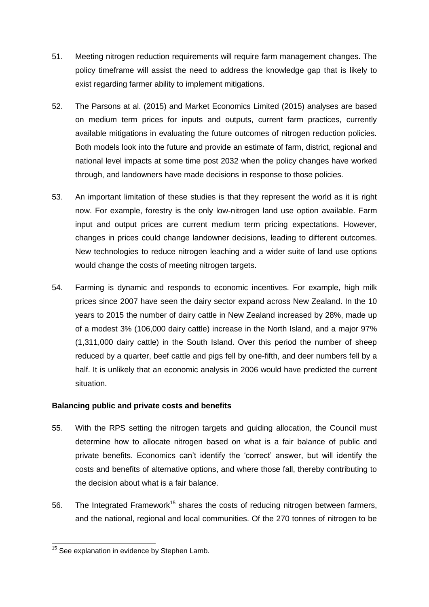- 51. Meeting nitrogen reduction requirements will require farm management changes. The policy timeframe will assist the need to address the knowledge gap that is likely to exist regarding farmer ability to implement mitigations.
- 52. The Parsons at al. (2015) and Market Economics Limited (2015) analyses are based on medium term prices for inputs and outputs, current farm practices, currently available mitigations in evaluating the future outcomes of nitrogen reduction policies. Both models look into the future and provide an estimate of farm, district, regional and national level impacts at some time post 2032 when the policy changes have worked through, and landowners have made decisions in response to those policies.
- 53. An important limitation of these studies is that they represent the world as it is right now. For example, forestry is the only low-nitrogen land use option available. Farm input and output prices are current medium term pricing expectations. However, changes in prices could change landowner decisions, leading to different outcomes. New technologies to reduce nitrogen leaching and a wider suite of land use options would change the costs of meeting nitrogen targets.
- 54. Farming is dynamic and responds to economic incentives. For example, high milk prices since 2007 have seen the dairy sector expand across New Zealand. In the 10 years to 2015 the number of dairy cattle in New Zealand increased by 28%, made up of a modest 3% (106,000 dairy cattle) increase in the North Island, and a major 97% (1,311,000 dairy cattle) in the South Island. Over this period the number of sheep reduced by a quarter, beef cattle and pigs fell by one-fifth, and deer numbers fell by a half. It is unlikely that an economic analysis in 2006 would have predicted the current situation.

# **Balancing public and private costs and benefits**

- 55. With the RPS setting the nitrogen targets and guiding allocation, the Council must determine how to allocate nitrogen based on what is a fair balance of public and private benefits. Economics can't identify the 'correct' answer, but will identify the costs and benefits of alternative options, and where those fall, thereby contributing to the decision about what is a fair balance.
- 56. The Integrated Framework<sup>15</sup> shares the costs of reducing nitrogen between farmers, and the national, regional and local communities. Of the 270 tonnes of nitrogen to be

<sup>-</sup><sup>15</sup> See explanation in evidence by Stephen Lamb.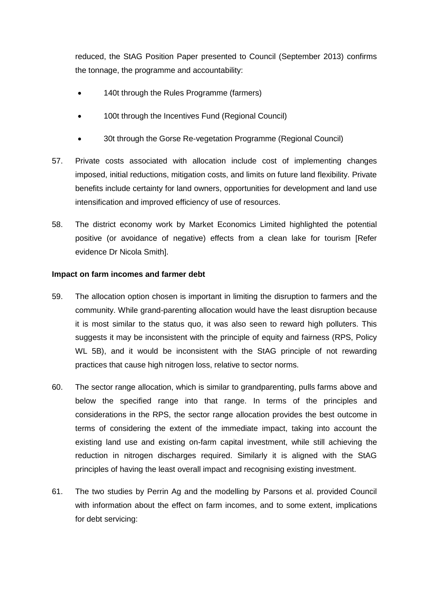reduced, the StAG Position Paper presented to Council (September 2013) confirms the tonnage, the programme and accountability:

- 140t through the Rules Programme (farmers)
- 100t through the Incentives Fund (Regional Council)
- 30t through the Gorse Re-vegetation Programme (Regional Council)
- 57. Private costs associated with allocation include cost of implementing changes imposed, initial reductions, mitigation costs, and limits on future land flexibility. Private benefits include certainty for land owners, opportunities for development and land use intensification and improved efficiency of use of resources.
- 58. The district economy work by Market Economics Limited highlighted the potential positive (or avoidance of negative) effects from a clean lake for tourism [Refer evidence Dr Nicola Smith].

## **Impact on farm incomes and farmer debt**

- 59. The allocation option chosen is important in limiting the disruption to farmers and the community. While grand-parenting allocation would have the least disruption because it is most similar to the status quo, it was also seen to reward high polluters. This suggests it may be inconsistent with the principle of equity and fairness (RPS, Policy WL 5B), and it would be inconsistent with the StAG principle of not rewarding practices that cause high nitrogen loss, relative to sector norms.
- 60. The sector range allocation, which is similar to grandparenting, pulls farms above and below the specified range into that range. In terms of the principles and considerations in the RPS, the sector range allocation provides the best outcome in terms of considering the extent of the immediate impact, taking into account the existing land use and existing on-farm capital investment, while still achieving the reduction in nitrogen discharges required. Similarly it is aligned with the StAG principles of having the least overall impact and recognising existing investment.
- 61. The two studies by Perrin Ag and the modelling by Parsons et al. provided Council with information about the effect on farm incomes, and to some extent, implications for debt servicing: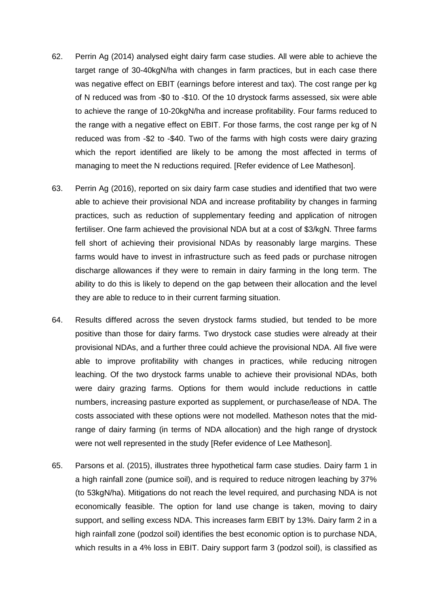- 62. Perrin Ag (2014) analysed eight dairy farm case studies. All were able to achieve the target range of 30-40kgN/ha with changes in farm practices, but in each case there was negative effect on EBIT (earnings before interest and tax). The cost range per kg of N reduced was from -\$0 to -\$10. Of the 10 drystock farms assessed, six were able to achieve the range of 10-20kgN/ha and increase profitability. Four farms reduced to the range with a negative effect on EBIT. For those farms, the cost range per kg of N reduced was from -\$2 to -\$40. Two of the farms with high costs were dairy grazing which the report identified are likely to be among the most affected in terms of managing to meet the N reductions required. [Refer evidence of Lee Matheson].
- 63. Perrin Ag (2016), reported on six dairy farm case studies and identified that two were able to achieve their provisional NDA and increase profitability by changes in farming practices, such as reduction of supplementary feeding and application of nitrogen fertiliser. One farm achieved the provisional NDA but at a cost of \$3/kgN. Three farms fell short of achieving their provisional NDAs by reasonably large margins. These farms would have to invest in infrastructure such as feed pads or purchase nitrogen discharge allowances if they were to remain in dairy farming in the long term. The ability to do this is likely to depend on the gap between their allocation and the level they are able to reduce to in their current farming situation.
- 64. Results differed across the seven drystock farms studied, but tended to be more positive than those for dairy farms. Two drystock case studies were already at their provisional NDAs, and a further three could achieve the provisional NDA. All five were able to improve profitability with changes in practices, while reducing nitrogen leaching. Of the two drystock farms unable to achieve their provisional NDAs, both were dairy grazing farms. Options for them would include reductions in cattle numbers, increasing pasture exported as supplement, or purchase/lease of NDA. The costs associated with these options were not modelled. Matheson notes that the midrange of dairy farming (in terms of NDA allocation) and the high range of drystock were not well represented in the study [Refer evidence of Lee Matheson].
- 65. Parsons et al. (2015), illustrates three hypothetical farm case studies. Dairy farm 1 in a high rainfall zone (pumice soil), and is required to reduce nitrogen leaching by 37% (to 53kgN/ha). Mitigations do not reach the level required, and purchasing NDA is not economically feasible. The option for land use change is taken, moving to dairy support, and selling excess NDA. This increases farm EBIT by 13%. Dairy farm 2 in a high rainfall zone (podzol soil) identifies the best economic option is to purchase NDA, which results in a 4% loss in EBIT. Dairy support farm 3 (podzol soil), is classified as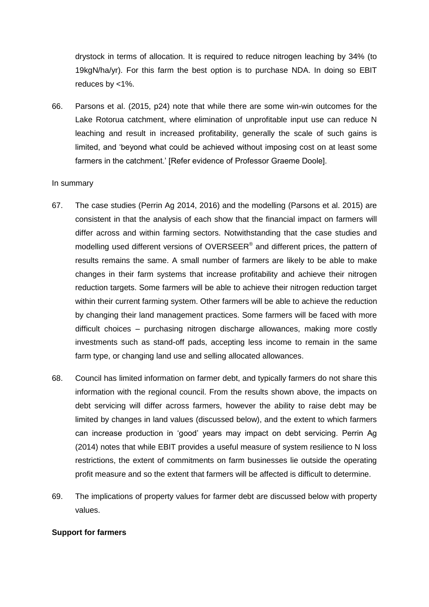drystock in terms of allocation. It is required to reduce nitrogen leaching by 34% (to 19kgN/ha/yr). For this farm the best option is to purchase NDA. In doing so EBIT reduces by <1%.

66. Parsons et al. (2015, p24) note that while there are some win-win outcomes for the Lake Rotorua catchment, where elimination of unprofitable input use can reduce N leaching and result in increased profitability, generally the scale of such gains is limited, and 'beyond what could be achieved without imposing cost on at least some farmers in the catchment.' [Refer evidence of Professor Graeme Doole].

#### In summary

- 67. The case studies (Perrin Ag 2014, 2016) and the modelling (Parsons et al. 2015) are consistent in that the analysis of each show that the financial impact on farmers will differ across and within farming sectors. Notwithstanding that the case studies and modelling used different versions of OVERSEER® and different prices, the pattern of results remains the same. A small number of farmers are likely to be able to make changes in their farm systems that increase profitability and achieve their nitrogen reduction targets. Some farmers will be able to achieve their nitrogen reduction target within their current farming system. Other farmers will be able to achieve the reduction by changing their land management practices. Some farmers will be faced with more difficult choices – purchasing nitrogen discharge allowances, making more costly investments such as stand-off pads, accepting less income to remain in the same farm type, or changing land use and selling allocated allowances.
- 68. Council has limited information on farmer debt, and typically farmers do not share this information with the regional council. From the results shown above, the impacts on debt servicing will differ across farmers, however the ability to raise debt may be limited by changes in land values (discussed below), and the extent to which farmers can increase production in 'good' years may impact on debt servicing. Perrin Ag (2014) notes that while EBIT provides a useful measure of system resilience to N loss restrictions, the extent of commitments on farm businesses lie outside the operating profit measure and so the extent that farmers will be affected is difficult to determine.
- 69. The implications of property values for farmer debt are discussed below with property values.

## **Support for farmers**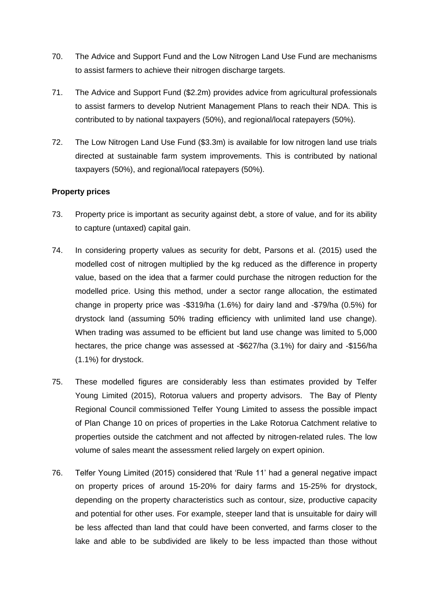- 70. The Advice and Support Fund and the Low Nitrogen Land Use Fund are mechanisms to assist farmers to achieve their nitrogen discharge targets.
- 71. The Advice and Support Fund (\$2.2m) provides advice from agricultural professionals to assist farmers to develop Nutrient Management Plans to reach their NDA. This is contributed to by national taxpayers (50%), and regional/local ratepayers (50%).
- 72. The Low Nitrogen Land Use Fund (\$3.3m) is available for low nitrogen land use trials directed at sustainable farm system improvements. This is contributed by national taxpayers (50%), and regional/local ratepayers (50%).

## **Property prices**

- 73. Property price is important as security against debt, a store of value, and for its ability to capture (untaxed) capital gain.
- 74. In considering property values as security for debt, Parsons et al. (2015) used the modelled cost of nitrogen multiplied by the kg reduced as the difference in property value, based on the idea that a farmer could purchase the nitrogen reduction for the modelled price. Using this method, under a sector range allocation, the estimated change in property price was -\$319/ha (1.6%) for dairy land and -\$79/ha (0.5%) for drystock land (assuming 50% trading efficiency with unlimited land use change). When trading was assumed to be efficient but land use change was limited to 5,000 hectares, the price change was assessed at -\$627/ha (3.1%) for dairy and -\$156/ha (1.1%) for drystock.
- 75. These modelled figures are considerably less than estimates provided by Telfer Young Limited (2015), Rotorua valuers and property advisors. The Bay of Plenty Regional Council commissioned Telfer Young Limited to assess the possible impact of Plan Change 10 on prices of properties in the Lake Rotorua Catchment relative to properties outside the catchment and not affected by nitrogen-related rules. The low volume of sales meant the assessment relied largely on expert opinion.
- 76. Telfer Young Limited (2015) considered that 'Rule 11' had a general negative impact on property prices of around 15-20% for dairy farms and 15-25% for drystock, depending on the property characteristics such as contour, size, productive capacity and potential for other uses. For example, steeper land that is unsuitable for dairy will be less affected than land that could have been converted, and farms closer to the lake and able to be subdivided are likely to be less impacted than those without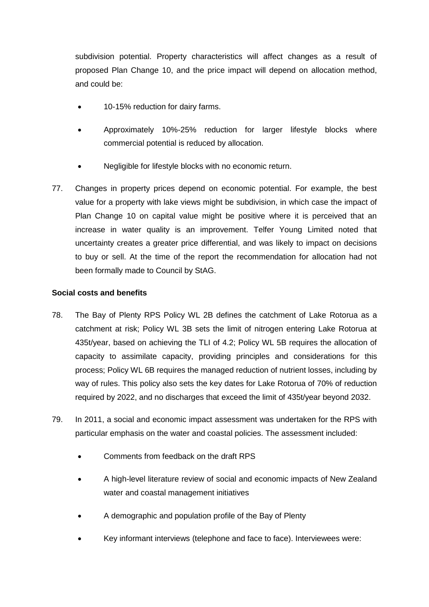subdivision potential. Property characteristics will affect changes as a result of proposed Plan Change 10, and the price impact will depend on allocation method, and could be:

- 10-15% reduction for dairy farms.
- Approximately 10%-25% reduction for larger lifestyle blocks where commercial potential is reduced by allocation.
- Negligible for lifestyle blocks with no economic return.
- 77. Changes in property prices depend on economic potential. For example, the best value for a property with lake views might be subdivision, in which case the impact of Plan Change 10 on capital value might be positive where it is perceived that an increase in water quality is an improvement. Telfer Young Limited noted that uncertainty creates a greater price differential, and was likely to impact on decisions to buy or sell. At the time of the report the recommendation for allocation had not been formally made to Council by StAG.

# **Social costs and benefits**

- 78. The Bay of Plenty RPS Policy WL 2B defines the catchment of Lake Rotorua as a catchment at risk; Policy WL 3B sets the limit of nitrogen entering Lake Rotorua at 435t/year, based on achieving the TLI of 4.2; Policy WL 5B requires the allocation of capacity to assimilate capacity, providing principles and considerations for this process; Policy WL 6B requires the managed reduction of nutrient losses, including by way of rules. This policy also sets the key dates for Lake Rotorua of 70% of reduction required by 2022, and no discharges that exceed the limit of 435t/year beyond 2032.
- 79. In 2011, a social and economic impact assessment was undertaken for the RPS with particular emphasis on the water and coastal policies. The assessment included:
	- Comments from feedback on the draft RPS
	- A high-level literature review of social and economic impacts of New Zealand water and coastal management initiatives
	- A demographic and population profile of the Bay of Plenty
	- Key informant interviews (telephone and face to face). Interviewees were: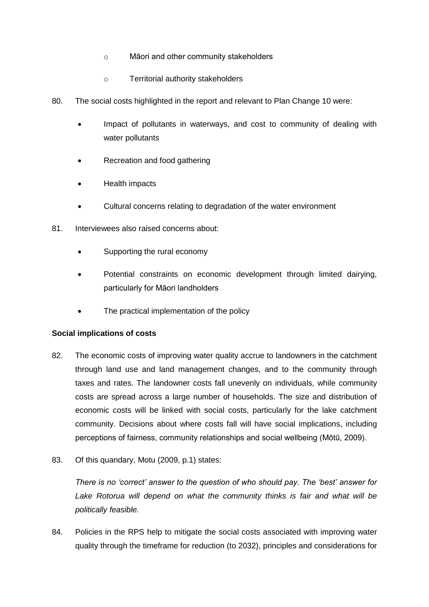- o Māori and other community stakeholders
- o Territorial authority stakeholders
- 80. The social costs highlighted in the report and relevant to Plan Change 10 were:
	- Impact of pollutants in waterways, and cost to community of dealing with water pollutants
	- Recreation and food gathering
	- Health impacts
	- Cultural concerns relating to degradation of the water environment
- 81. Interviewees also raised concerns about:
	- Supporting the rural economy
	- Potential constraints on economic development through limited dairying, particularly for Māori landholders
	- The practical implementation of the policy

## **Social implications of costs**

- 82. The economic costs of improving water quality accrue to landowners in the catchment through land use and land management changes, and to the community through taxes and rates. The landowner costs fall unevenly on individuals, while community costs are spread across a large number of households. The size and distribution of economic costs will be linked with social costs, particularly for the lake catchment community. Decisions about where costs fall will have social implications, including perceptions of fairness, community relationships and social wellbeing (Mōtū, 2009).
- 83. Of this quandary, Motu (2009, p.1) states:

*There is no 'correct' answer to the question of who should pay. The 'best' answer for*  Lake Rotorua will depend on what the community thinks is fair and what will be *politically feasible.*

84. Policies in the RPS help to mitigate the social costs associated with improving water quality through the timeframe for reduction (to 2032), principles and considerations for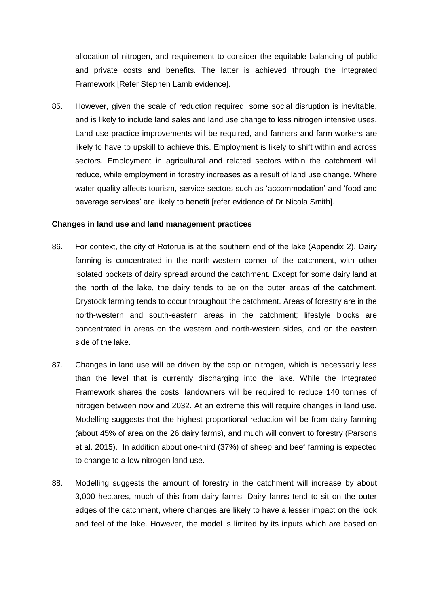allocation of nitrogen, and requirement to consider the equitable balancing of public and private costs and benefits. The latter is achieved through the Integrated Framework [Refer Stephen Lamb evidence].

85. However, given the scale of reduction required, some social disruption is inevitable, and is likely to include land sales and land use change to less nitrogen intensive uses. Land use practice improvements will be required, and farmers and farm workers are likely to have to upskill to achieve this. Employment is likely to shift within and across sectors. Employment in agricultural and related sectors within the catchment will reduce, while employment in forestry increases as a result of land use change. Where water quality affects tourism, service sectors such as 'accommodation' and 'food and beverage services' are likely to benefit [refer evidence of Dr Nicola Smith].

#### **Changes in land use and land management practices**

- 86. For context, the city of Rotorua is at the southern end of the lake (Appendix 2). Dairy farming is concentrated in the north-western corner of the catchment, with other isolated pockets of dairy spread around the catchment. Except for some dairy land at the north of the lake, the dairy tends to be on the outer areas of the catchment. Drystock farming tends to occur throughout the catchment. Areas of forestry are in the north-western and south-eastern areas in the catchment; lifestyle blocks are concentrated in areas on the western and north-western sides, and on the eastern side of the lake.
- 87. Changes in land use will be driven by the cap on nitrogen, which is necessarily less than the level that is currently discharging into the lake. While the Integrated Framework shares the costs, landowners will be required to reduce 140 tonnes of nitrogen between now and 2032. At an extreme this will require changes in land use. Modelling suggests that the highest proportional reduction will be from dairy farming (about 45% of area on the 26 dairy farms), and much will convert to forestry (Parsons et al. 2015). In addition about one-third (37%) of sheep and beef farming is expected to change to a low nitrogen land use.
- 88. Modelling suggests the amount of forestry in the catchment will increase by about 3,000 hectares, much of this from dairy farms. Dairy farms tend to sit on the outer edges of the catchment, where changes are likely to have a lesser impact on the look and feel of the lake. However, the model is limited by its inputs which are based on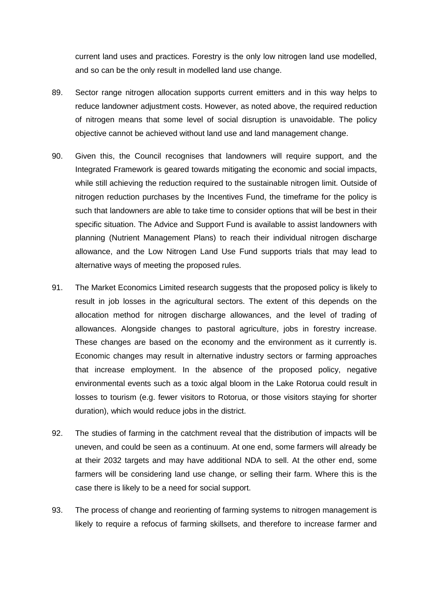current land uses and practices. Forestry is the only low nitrogen land use modelled, and so can be the only result in modelled land use change.

- 89. Sector range nitrogen allocation supports current emitters and in this way helps to reduce landowner adjustment costs. However, as noted above, the required reduction of nitrogen means that some level of social disruption is unavoidable. The policy objective cannot be achieved without land use and land management change.
- 90. Given this, the Council recognises that landowners will require support, and the Integrated Framework is geared towards mitigating the economic and social impacts, while still achieving the reduction required to the sustainable nitrogen limit. Outside of nitrogen reduction purchases by the Incentives Fund, the timeframe for the policy is such that landowners are able to take time to consider options that will be best in their specific situation. The Advice and Support Fund is available to assist landowners with planning (Nutrient Management Plans) to reach their individual nitrogen discharge allowance, and the Low Nitrogen Land Use Fund supports trials that may lead to alternative ways of meeting the proposed rules.
- 91. The Market Economics Limited research suggests that the proposed policy is likely to result in job losses in the agricultural sectors. The extent of this depends on the allocation method for nitrogen discharge allowances, and the level of trading of allowances. Alongside changes to pastoral agriculture, jobs in forestry increase. These changes are based on the economy and the environment as it currently is. Economic changes may result in alternative industry sectors or farming approaches that increase employment. In the absence of the proposed policy, negative environmental events such as a toxic algal bloom in the Lake Rotorua could result in losses to tourism (e.g. fewer visitors to Rotorua, or those visitors staying for shorter duration), which would reduce jobs in the district.
- 92. The studies of farming in the catchment reveal that the distribution of impacts will be uneven, and could be seen as a continuum. At one end, some farmers will already be at their 2032 targets and may have additional NDA to sell. At the other end, some farmers will be considering land use change, or selling their farm. Where this is the case there is likely to be a need for social support.
- 93. The process of change and reorienting of farming systems to nitrogen management is likely to require a refocus of farming skillsets, and therefore to increase farmer and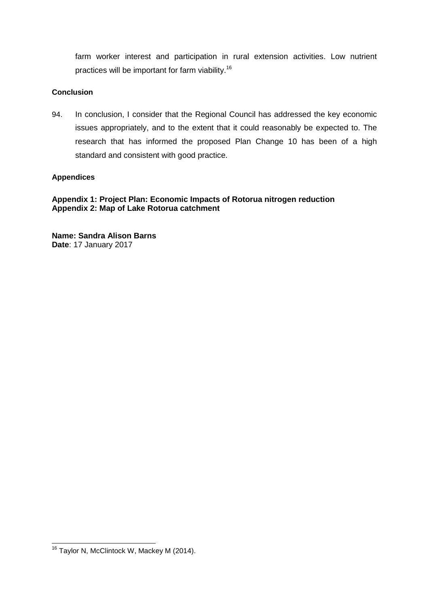farm worker interest and participation in rural extension activities. Low nutrient practices will be important for farm viability.<sup>16</sup>

## **Conclusion**

94. In conclusion, I consider that the Regional Council has addressed the key economic issues appropriately, and to the extent that it could reasonably be expected to. The research that has informed the proposed Plan Change 10 has been of a high standard and consistent with good practice.

# **Appendices**

**Appendix 1: Project Plan: Economic Impacts of Rotorua nitrogen reduction Appendix 2: Map of Lake Rotorua catchment**

**Name: Sandra Alison Barns Date**: 17 January 2017

-

<sup>&</sup>lt;sup>16</sup> Taylor N, McClintock W, Mackey M (2014).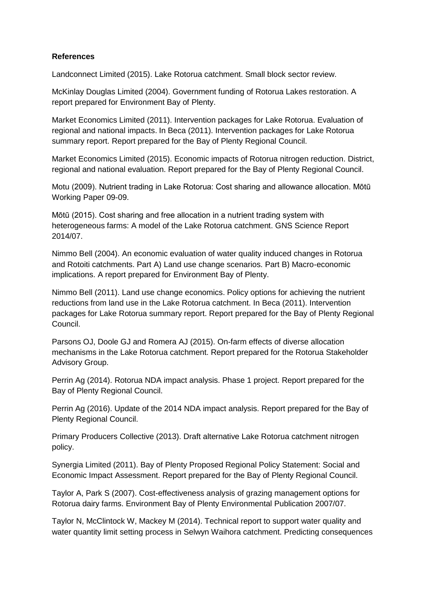# **References**

Landconnect Limited (2015). Lake Rotorua catchment. Small block sector review.

McKinlay Douglas Limited (2004). Government funding of Rotorua Lakes restoration. A report prepared for Environment Bay of Plenty.

Market Economics Limited (2011). Intervention packages for Lake Rotorua. Evaluation of regional and national impacts. In Beca (2011). Intervention packages for Lake Rotorua summary report. Report prepared for the Bay of Plenty Regional Council.

Market Economics Limited (2015). Economic impacts of Rotorua nitrogen reduction. District, regional and national evaluation. Report prepared for the Bay of Plenty Regional Council.

Motu (2009). Nutrient trading in Lake Rotorua: Cost sharing and allowance allocation. Mōtū Working Paper 09-09.

Mōtū (2015). Cost sharing and free allocation in a nutrient trading system with heterogeneous farms: A model of the Lake Rotorua catchment. GNS Science Report 2014/07.

Nimmo Bell (2004). An economic evaluation of water quality induced changes in Rotorua and Rotoiti catchments. Part A) Land use change scenarios. Part B) Macro-economic implications. A report prepared for Environment Bay of Plenty.

Nimmo Bell (2011). Land use change economics. Policy options for achieving the nutrient reductions from land use in the Lake Rotorua catchment. In Beca (2011). Intervention packages for Lake Rotorua summary report. Report prepared for the Bay of Plenty Regional Council.

Parsons OJ, Doole GJ and Romera AJ (2015). On-farm effects of diverse allocation mechanisms in the Lake Rotorua catchment. Report prepared for the Rotorua Stakeholder Advisory Group.

Perrin Ag (2014). Rotorua NDA impact analysis. Phase 1 project. Report prepared for the Bay of Plenty Regional Council.

Perrin Ag (2016). Update of the 2014 NDA impact analysis. Report prepared for the Bay of Plenty Regional Council.

Primary Producers Collective (2013). Draft alternative Lake Rotorua catchment nitrogen policy.

Synergia Limited (2011). Bay of Plenty Proposed Regional Policy Statement: Social and Economic Impact Assessment. Report prepared for the Bay of Plenty Regional Council.

Taylor A, Park S (2007). Cost-effectiveness analysis of grazing management options for Rotorua dairy farms. Environment Bay of Plenty Environmental Publication 2007/07.

Taylor N, McClintock W, Mackey M (2014). Technical report to support water quality and water quantity limit setting process in Selwyn Waihora catchment. Predicting consequences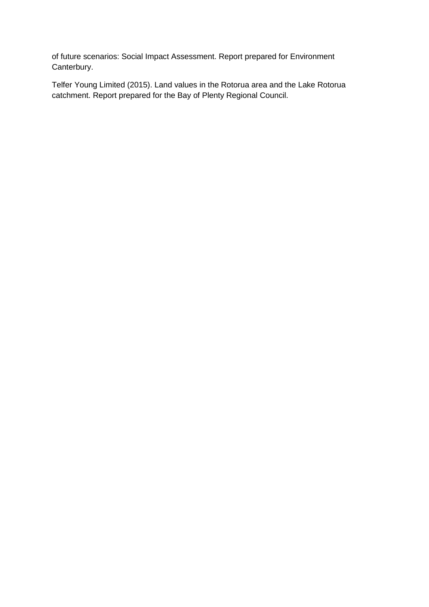of future scenarios: Social Impact Assessment. Report prepared for Environment Canterbury.

Telfer Young Limited (2015). Land values in the Rotorua area and the Lake Rotorua catchment. Report prepared for the Bay of Plenty Regional Council.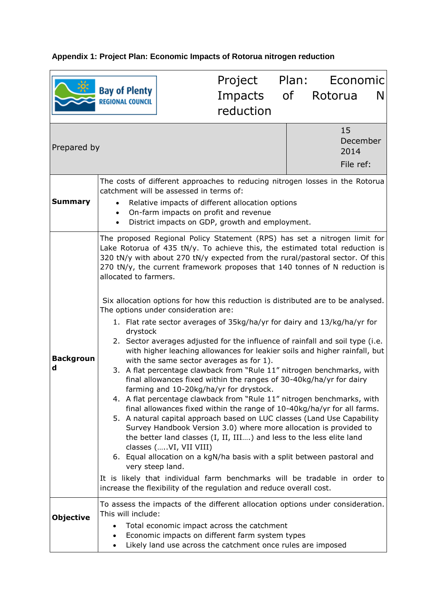# **Appendix 1: Project Plan: Economic Impacts of Rotorua nitrogen reduction**

|                       |                                                                                                                                                                        |                        | Project Plan: Economic                                                                                                                                                                                                                                                                                                                                                                                                                                                                                                                                                                                                                                                                                                                                                                                                                                                                                                                                                                                                                                                                                                                                                          |  |         |                                     |   |
|-----------------------|------------------------------------------------------------------------------------------------------------------------------------------------------------------------|------------------------|---------------------------------------------------------------------------------------------------------------------------------------------------------------------------------------------------------------------------------------------------------------------------------------------------------------------------------------------------------------------------------------------------------------------------------------------------------------------------------------------------------------------------------------------------------------------------------------------------------------------------------------------------------------------------------------------------------------------------------------------------------------------------------------------------------------------------------------------------------------------------------------------------------------------------------------------------------------------------------------------------------------------------------------------------------------------------------------------------------------------------------------------------------------------------------|--|---------|-------------------------------------|---|
|                       | <b>Bay of Plenty</b><br><b>REGIONAL COUNCIL</b>                                                                                                                        |                        | Impacts of                                                                                                                                                                                                                                                                                                                                                                                                                                                                                                                                                                                                                                                                                                                                                                                                                                                                                                                                                                                                                                                                                                                                                                      |  | Rotorua |                                     | N |
|                       |                                                                                                                                                                        |                        | reduction                                                                                                                                                                                                                                                                                                                                                                                                                                                                                                                                                                                                                                                                                                                                                                                                                                                                                                                                                                                                                                                                                                                                                                       |  |         |                                     |   |
| Prepared by           |                                                                                                                                                                        |                        |                                                                                                                                                                                                                                                                                                                                                                                                                                                                                                                                                                                                                                                                                                                                                                                                                                                                                                                                                                                                                                                                                                                                                                                 |  |         | 15<br>December<br>2014<br>File ref: |   |
|                       | The costs of different approaches to reducing nitrogen losses in the Rotorua                                                                                           |                        |                                                                                                                                                                                                                                                                                                                                                                                                                                                                                                                                                                                                                                                                                                                                                                                                                                                                                                                                                                                                                                                                                                                                                                                 |  |         |                                     |   |
| <b>Summary</b>        | Relative impacts of different allocation options<br>On-farm impacts on profit and revenue<br>$\bullet$<br>District impacts on GDP, growth and employment.<br>$\bullet$ |                        |                                                                                                                                                                                                                                                                                                                                                                                                                                                                                                                                                                                                                                                                                                                                                                                                                                                                                                                                                                                                                                                                                                                                                                                 |  |         |                                     |   |
|                       | allocated to farmers.                                                                                                                                                  |                        | The proposed Regional Policy Statement (RPS) has set a nitrogen limit for<br>Lake Rotorua of 435 tN/y. To achieve this, the estimated total reduction is<br>320 tN/y with about 270 tN/y expected from the rural/pastoral sector. Of this<br>270 tN/y, the current framework proposes that 140 tonnes of N reduction is                                                                                                                                                                                                                                                                                                                                                                                                                                                                                                                                                                                                                                                                                                                                                                                                                                                         |  |         |                                     |   |
| <b>Backgroun</b><br>d | The options under consideration are:<br>drystock<br>very steep land.                                                                                                   | classes (VI, VII VIII) | Six allocation options for how this reduction is distributed are to be analysed.<br>1. Flat rate sector averages of 35kg/ha/yr for dairy and 13/kg/ha/yr for<br>2. Sector averages adjusted for the influence of rainfall and soil type (i.e.<br>with higher leaching allowances for leakier soils and higher rainfall, but<br>with the same sector averages as for 1).<br>3. A flat percentage clawback from "Rule 11" nitrogen benchmarks, with<br>final allowances fixed within the ranges of 30-40kg/ha/yr for dairy<br>farming and 10-20kg/ha/yr for drystock.<br>4. A flat percentage clawback from "Rule 11" nitrogen benchmarks, with<br>final allowances fixed within the range of 10-40kg/ha/yr for all farms.<br>5. A natural capital approach based on LUC classes (Land Use Capability<br>Survey Handbook Version 3.0) where more allocation is provided to<br>the better land classes (I, II, III) and less to the less elite land<br>6. Equal allocation on a kgN/ha basis with a split between pastoral and<br>It is likely that individual farm benchmarks will be tradable in order to<br>increase the flexibility of the regulation and reduce overall cost. |  |         |                                     |   |
|                       |                                                                                                                                                                        |                        | To assess the impacts of the different allocation options under consideration.                                                                                                                                                                                                                                                                                                                                                                                                                                                                                                                                                                                                                                                                                                                                                                                                                                                                                                                                                                                                                                                                                                  |  |         |                                     |   |
| <b>Objective</b>      | This will include:<br>$\bullet$<br>$\bullet$                                                                                                                           |                        | Total economic impact across the catchment<br>Economic impacts on different farm system types<br>Likely land use across the catchment once rules are imposed                                                                                                                                                                                                                                                                                                                                                                                                                                                                                                                                                                                                                                                                                                                                                                                                                                                                                                                                                                                                                    |  |         |                                     |   |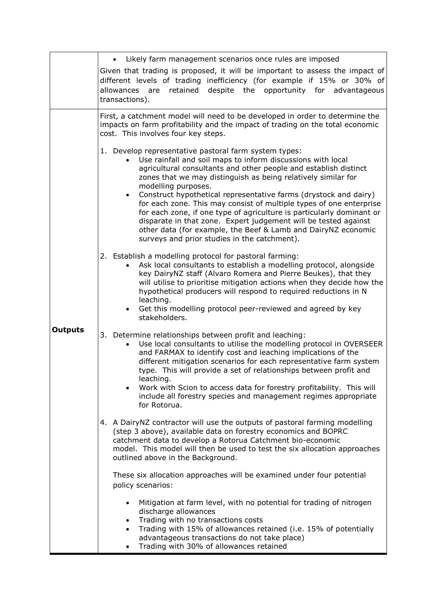|                | Likely farm management scenarios once rules are imposed                                                                                                                                                                                                                                                                                                                                                                                                                                                                                                                                                                                                                                               |  |  |  |  |  |  |  |
|----------------|-------------------------------------------------------------------------------------------------------------------------------------------------------------------------------------------------------------------------------------------------------------------------------------------------------------------------------------------------------------------------------------------------------------------------------------------------------------------------------------------------------------------------------------------------------------------------------------------------------------------------------------------------------------------------------------------------------|--|--|--|--|--|--|--|
|                | Given that trading is proposed, it will be important to assess the impact of<br>different levels of trading inefficiency (for example if 15% or 30% of<br>retained<br>despite the opportunity for advantageous<br>allowances are<br>transactions).                                                                                                                                                                                                                                                                                                                                                                                                                                                    |  |  |  |  |  |  |  |
|                | First, a catchment model will need to be developed in order to determine the<br>impacts on farm profitability and the impact of trading on the total economic<br>cost. This involves four key steps.                                                                                                                                                                                                                                                                                                                                                                                                                                                                                                  |  |  |  |  |  |  |  |
|                | 1. Develop representative pastoral farm system types:<br>Use rainfall and soil maps to inform discussions with local<br>agricultural consultants and other people and establish distinct<br>zones that we may distinguish as being relatively similar for<br>modelling purposes.<br>Construct hypothetical representative farms (drystock and dairy)<br>$\bullet$<br>for each zone. This may consist of multiple types of one enterprise<br>for each zone, if one type of agriculture is particularly dominant or<br>disparate in that zone. Expert judgement will be tested against<br>other data (for example, the Beef & Lamb and DairyNZ economic<br>surveys and prior studies in the catchment). |  |  |  |  |  |  |  |
|                | 2. Establish a modelling protocol for pastoral farming:<br>Ask local consultants to establish a modelling protocol, alongside<br>key DairyNZ staff (Alvaro Romera and Pierre Beukes), that they<br>will utilise to prioritise mitigation actions when they decide how the<br>hypothetical producers will respond to required reductions in N<br>leaching.<br>Get this modelling protocol peer-reviewed and agreed by key<br>stakeholders.                                                                                                                                                                                                                                                             |  |  |  |  |  |  |  |
| <b>Outputs</b> | 3. Determine relationships between profit and leaching:<br>Use local consultants to utilise the modelling protocol in OVERSEER<br>and FARMAX to identify cost and leaching implications of the<br>different mitigation scenarios for each representative farm system<br>type. This will provide a set of relationships between profit and<br>leaching.<br>Work with Scion to access data for forestry profitability. This will<br>include all forestry species and management regimes appropriate<br>for Rotorua.                                                                                                                                                                                     |  |  |  |  |  |  |  |
|                | 4. A DairyNZ contractor will use the outputs of pastoral farming modelling<br>(step 3 above), available data on forestry economics and BOPRC<br>catchment data to develop a Rotorua Catchment bio-economic<br>model. This model will then be used to test the six allocation approaches<br>outlined above in the Background.                                                                                                                                                                                                                                                                                                                                                                          |  |  |  |  |  |  |  |
|                | These six allocation approaches will be examined under four potential<br>policy scenarios:                                                                                                                                                                                                                                                                                                                                                                                                                                                                                                                                                                                                            |  |  |  |  |  |  |  |
|                | Mitigation at farm level, with no potential for trading of nitrogen<br>discharge allowances<br>Trading with no transactions costs<br>$\bullet$<br>Trading with 15% of allowances retained (i.e. 15% of potentially<br>$\bullet$<br>advantageous transactions do not take place)<br>Trading with 30% of allowances retained<br>$\bullet$                                                                                                                                                                                                                                                                                                                                                               |  |  |  |  |  |  |  |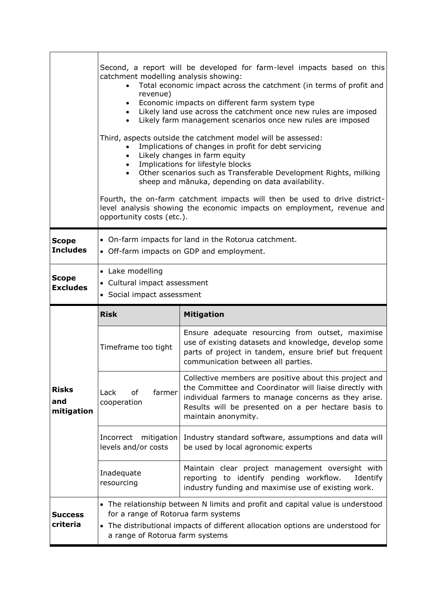|                                   | Second, a report will be developed for farm-level impacts based on this<br>catchment modelling analysis showing:<br>Total economic impact across the catchment (in terms of profit and<br>revenue)<br>Economic impacts on different farm system type<br>$\bullet$<br>Likely land use across the catchment once new rules are imposed<br>$\bullet$<br>Likely farm management scenarios once new rules are imposed<br>$\bullet$<br>Third, aspects outside the catchment model will be assessed:<br>Implications of changes in profit for debt servicing<br>Likely changes in farm equity<br>$\bullet$<br>Implications for lifestyle blocks<br>$\bullet$<br>Other scenarios such as Transferable Development Rights, milking<br>$\bullet$<br>sheep and mānuka, depending on data availability.<br>Fourth, the on-farm catchment impacts will then be used to drive district-<br>level analysis showing the economic impacts on employment, revenue and<br>opportunity costs (etc.). |                                                                                                                                                                                                                                                         |  |  |  |  |
|-----------------------------------|----------------------------------------------------------------------------------------------------------------------------------------------------------------------------------------------------------------------------------------------------------------------------------------------------------------------------------------------------------------------------------------------------------------------------------------------------------------------------------------------------------------------------------------------------------------------------------------------------------------------------------------------------------------------------------------------------------------------------------------------------------------------------------------------------------------------------------------------------------------------------------------------------------------------------------------------------------------------------------|---------------------------------------------------------------------------------------------------------------------------------------------------------------------------------------------------------------------------------------------------------|--|--|--|--|
| <b>Scope</b><br><b>Includes</b>   | • On-farm impacts for land in the Rotorua catchment.<br>• Off-farm impacts on GDP and employment.                                                                                                                                                                                                                                                                                                                                                                                                                                                                                                                                                                                                                                                                                                                                                                                                                                                                                |                                                                                                                                                                                                                                                         |  |  |  |  |
| <b>Scope</b><br><b>Excludes</b>   | • Lake modelling<br>• Cultural impact assessment<br>• Social impact assessment                                                                                                                                                                                                                                                                                                                                                                                                                                                                                                                                                                                                                                                                                                                                                                                                                                                                                                   |                                                                                                                                                                                                                                                         |  |  |  |  |
|                                   |                                                                                                                                                                                                                                                                                                                                                                                                                                                                                                                                                                                                                                                                                                                                                                                                                                                                                                                                                                                  |                                                                                                                                                                                                                                                         |  |  |  |  |
|                                   | <b>Risk</b>                                                                                                                                                                                                                                                                                                                                                                                                                                                                                                                                                                                                                                                                                                                                                                                                                                                                                                                                                                      | <b>Mitigation</b>                                                                                                                                                                                                                                       |  |  |  |  |
|                                   | Timeframe too tight                                                                                                                                                                                                                                                                                                                                                                                                                                                                                                                                                                                                                                                                                                                                                                                                                                                                                                                                                              | Ensure adequate resourcing from outset, maximise<br>use of existing datasets and knowledge, develop some<br>parts of project in tandem, ensure brief but frequent<br>communication between all parties.                                                 |  |  |  |  |
| <b>Risks</b><br>and<br>mitigation | farmer<br>Lack<br>οf<br>cooperation                                                                                                                                                                                                                                                                                                                                                                                                                                                                                                                                                                                                                                                                                                                                                                                                                                                                                                                                              | Collective members are positive about this project and<br>the Committee and Coordinator will liaise directly with<br>individual farmers to manage concerns as they arise.<br>Results will be presented on a per hectare basis to<br>maintain anonymity. |  |  |  |  |
|                                   | Incorrect mitigation<br>levels and/or costs                                                                                                                                                                                                                                                                                                                                                                                                                                                                                                                                                                                                                                                                                                                                                                                                                                                                                                                                      | Industry standard software, assumptions and data will<br>be used by local agronomic experts                                                                                                                                                             |  |  |  |  |
|                                   | Inadequate<br>resourcing                                                                                                                                                                                                                                                                                                                                                                                                                                                                                                                                                                                                                                                                                                                                                                                                                                                                                                                                                         | Maintain clear project management oversight with<br>reporting to identify pending workflow.<br>Identify<br>industry funding and maximise use of existing work.                                                                                          |  |  |  |  |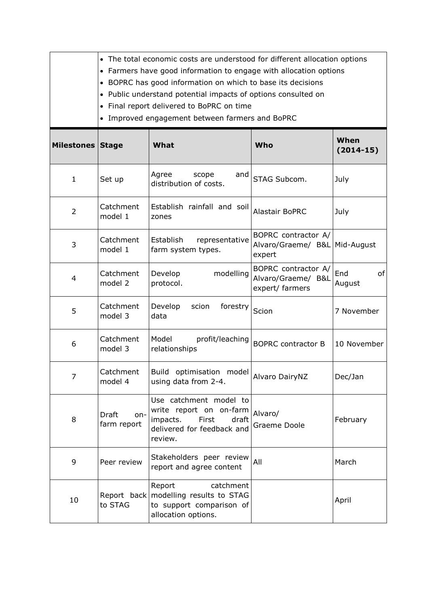|                         | • The total economic costs are understood for different allocation options<br>• Farmers have good information to engage with allocation options<br>• BOPRC has good information on which to base its decisions<br>• Public understand potential impacts of options consulted on<br>Final report delivered to BoPRC on time<br>$\bullet$<br>Improved engagement between farmers and BoPRC<br>$\bullet$ |                                                                                                                                                     |                                                                |                     |  |  |
|-------------------------|-------------------------------------------------------------------------------------------------------------------------------------------------------------------------------------------------------------------------------------------------------------------------------------------------------------------------------------------------------------------------------------------------------|-----------------------------------------------------------------------------------------------------------------------------------------------------|----------------------------------------------------------------|---------------------|--|--|
| <b>Milestones Stage</b> |                                                                                                                                                                                                                                                                                                                                                                                                       | What                                                                                                                                                | Who                                                            | When<br>$(2014-15)$ |  |  |
| $\mathbf{1}$            | Set up                                                                                                                                                                                                                                                                                                                                                                                                | Agree<br>and<br>scope<br>distribution of costs.                                                                                                     | STAG Subcom.                                                   | July                |  |  |
| $\overline{2}$          | Catchment<br>model 1                                                                                                                                                                                                                                                                                                                                                                                  | Establish rainfall and soil<br>zones                                                                                                                | <b>Alastair BoPRC</b>                                          | July                |  |  |
| 3                       | Catchment<br>model 1                                                                                                                                                                                                                                                                                                                                                                                  | Establish<br>representative<br>farm system types.                                                                                                   | BOPRC contractor A/<br>Alvaro/Graeme/ B&L Mid-August<br>expert |                     |  |  |
| 4                       | Catchment<br>model 2                                                                                                                                                                                                                                                                                                                                                                                  | Develop<br>modelling<br>protocol.                                                                                                                   | BOPRC contractor A/<br>Alvaro/Graeme/ B&L<br>expert/ farmers   | End<br>of<br>August |  |  |
| 5                       | Catchment<br>model 3                                                                                                                                                                                                                                                                                                                                                                                  | Develop<br>scion<br>forestry<br>data                                                                                                                | Scion                                                          | 7 November          |  |  |
| 6                       | Catchment<br>model 3                                                                                                                                                                                                                                                                                                                                                                                  | Model<br>profit/leaching<br>relationships                                                                                                           | <b>BOPRC</b> contractor B                                      | 10 November         |  |  |
| 7                       | Catchment<br>model 4                                                                                                                                                                                                                                                                                                                                                                                  | Build optimisation<br>model<br>Alvaro DairyNZ<br>using data from 2-4.                                                                               |                                                                | Dec/Jan             |  |  |
| 8                       | <b>Draft</b><br>on-<br>farm report                                                                                                                                                                                                                                                                                                                                                                    | Use catchment model to<br>write report on on-farm<br>Alvaro/<br>impacts.<br>First<br>draft<br>Graeme Doole<br>delivered for feedback and<br>review. |                                                                | February            |  |  |
| 9                       | Peer review                                                                                                                                                                                                                                                                                                                                                                                           | Stakeholders peer review<br>All<br>report and agree content                                                                                         |                                                                | March               |  |  |
| 10                      | to STAG                                                                                                                                                                                                                                                                                                                                                                                               | catchment<br>Report<br>Report back   modelling results to STAG<br>to support comparison of<br>allocation options.                                   |                                                                | April               |  |  |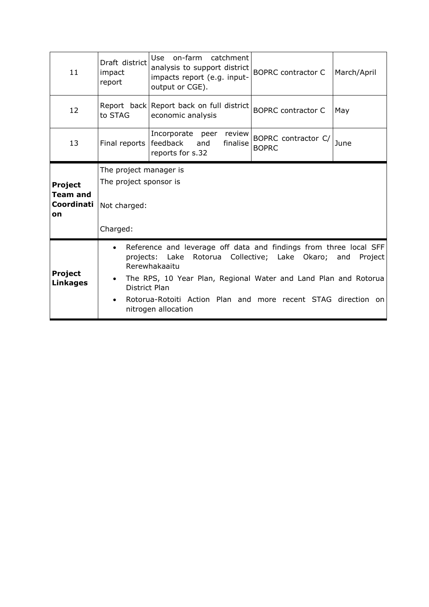| 11                                                    | Draft district<br>impact<br>report                                                                                                                                                                                                                                                                                                                    | Use<br>on-farm<br>catchment<br>analysis to support district<br>impacts report (e.g. input-<br>output or CGE). | <b>BOPRC</b> contractor C           | March/April |  |
|-------------------------------------------------------|-------------------------------------------------------------------------------------------------------------------------------------------------------------------------------------------------------------------------------------------------------------------------------------------------------------------------------------------------------|---------------------------------------------------------------------------------------------------------------|-------------------------------------|-------------|--|
| 12                                                    | to STAG                                                                                                                                                                                                                                                                                                                                               | Report back Report back on full district<br>economic analysis                                                 | <b>BOPRC</b> contractor C           | May         |  |
| 13                                                    | Final reports                                                                                                                                                                                                                                                                                                                                         | Incorporate peer<br>review<br>feedback<br>and<br>finalise<br>reports for s.32                                 | BOPRC contractor C/<br><b>BOPRC</b> | June        |  |
| <b>Project</b><br><b>Team and</b><br>Coordinati<br>on | The project manager is<br>The project sponsor is<br>Not charged:<br>Charged:                                                                                                                                                                                                                                                                          |                                                                                                               |                                     |             |  |
| <b>Project</b><br><b>Linkages</b>                     | Reference and leverage off data and findings from three local SFF<br>$\bullet$<br>Collective; Lake Okaro;<br>projects: Lake<br>Rotorua<br>Project<br>and<br>Rerewhakaaitu<br>The RPS, 10 Year Plan, Regional Water and Land Plan and Rotorua<br>District Plan<br>Rotorua-Rotoiti Action Plan and more recent STAG direction on<br>nitrogen allocation |                                                                                                               |                                     |             |  |